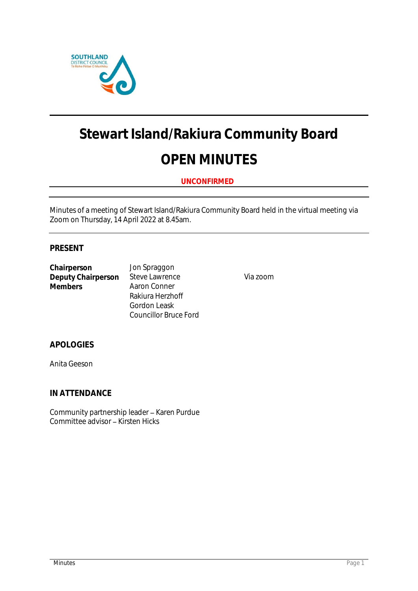

# **Stewart Island/Rakiura Community Board**

## **OPEN MINUTES**

### **UNCONFIRMED**

Minutes of a meeting of Stewart Island/Rakiura Community Board held in the virtual meeting via Zoom on Thursday, 14 April 2022 at 8.45am.

#### **PRESENT**

**Chairperson** Jon Spraggon **Deputy Chairperson** Steve Lawrence Via zoom<br>
Members Aaron Conner

**Aaron Conner** Rakiura Herzhoff Gordon Leask Councillor Bruce Ford

**APOLOGIES**

Anita Geeson

**IN ATTENDANCE**

Community partnership leader - Karen Purdue Committee advisor - Kirsten Hicks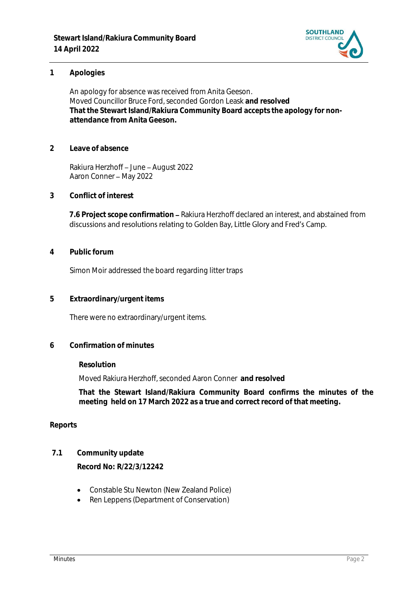

#### **1 Apologies**

An apology for absence was received from Anita Geeson. Moved Councillor Bruce Ford, seconded Gordon Leask **and resolved That the Stewart Island/Rakiura Community Board accepts the apology for nonattendance from Anita Geeson.**

**2 Leave of absence** 

Rakiura Herzhoff - June - August 2022 Aaron Conner - May 2022

**3 Conflict of interest**

7.6 Project scope confirmation – Rakiura Herzhoff declared an interest, and abstained from discussions and resolutions relating to Golden Bay, Little Glory and Fred's Camp.

**4 Public forum**

Simon Moir addressed the board regarding litter traps

**5 Extraordinary/urgent items**

There were no extraordinary/urgent items.

**6 Confirmation of minutes**

**Resolution**

Moved Rakiura Herzhoff, seconded Aaron Conner **and resolved**

**That the Stewart Island/Rakiura Community Board confirms the minutes of the meeting held on 17 March 2022 as a true and correct record of that meeting.**

#### **Reports**

**7.1 Community update**

**Record No: R/22/3/12242**

- Constable Stu Newton (New Zealand Police)
- Ren Leppens (Department of Conservation)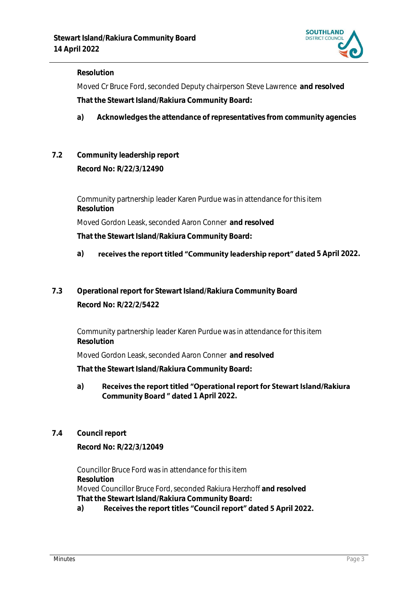

#### **Resolution**

Moved Cr Bruce Ford, seconded Deputy chairperson Steve Lawrence **and resolved That the Stewart Island/Rakiura Community Board:**

- **a) Acknowledges the attendance of representatives from community agencies**
- **7.2 Community leadership report Record No: R/22/3/12490**

Community partnership leader Karen Purdue was in attendance for this item **Resolution** Moved Gordon Leask, seconded Aaron Conner **and resolved That the Stewart Island/Rakiura Community Board:**

- a) **receives the report titled "Community leadership report" dated 5 April 2022.**
- **7.3 Operational report for Stewart Island/Rakiura Community Board Record No: R/22/2/5422**

Community partnership leader Karen Purdue was in attendance for this item **Resolution**

Moved Gordon Leask, seconded Aaron Conner **and resolved**

**That the Stewart Island/Rakiura Community Board:**

- Receives the report titled "Operational report for Stewart Island/Rakiura **a) Community Board " dated 1 April 2022.**
- **7.4 Council report**

**Record No: R/22/3/12049**

Councillor Bruce Ford was in attendance for this item **Resolution** Moved Councillor Bruce Ford, seconded Rakiura Herzhoff **and resolved That the Stewart Island/Rakiura Community Board:**

#### Receives the report titles "Council report" dated 5 April 2022. **a)**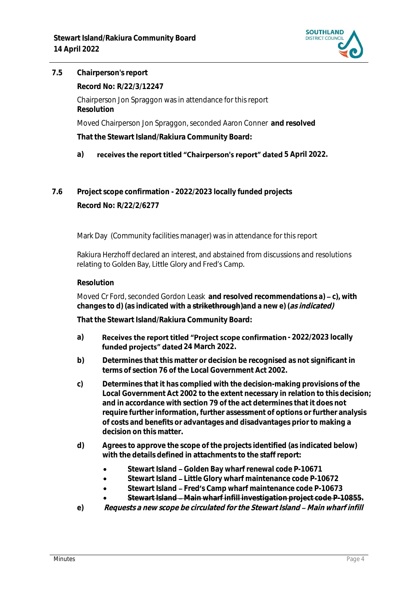

**7.5 Chairperson's report**

**Record No: R/22/3/12247**

Chairperson Jon Spraggon was in attendance for this report **Resolution**

Moved Chairperson Jon Spraggon, seconded Aaron Conner **and resolved**

**That the Stewart Island/Rakiura Community Board:**

### a) **receives the report titled "Chairperson's report" dated** 5 April 2022.

**7.6 Project scope confirmation - 2022/2023 locally funded projects Record No: R/22/2/6277**

Mark Day (Community facilities manager) was in attendance for this report

Rakiura Herzhoff declared an interest, and abstained from discussions and resolutions relating to Golden Bay, Little Glory and Fred's Camp.

#### **Resolution**

Moved Cr Ford, seconded Gordon Leask and resolved recommendations a) – c), with **changes to d) (as indicated with a strikethrough)and a new e) (as indicated)**

**That the Stewart Island/Rakiura Community Board:**

- a) **Receives the report titled "Project scope confirmation 2022/2023 locally** funded projects" dated 24 March 2022.
- **b) Determines that this matter or decision be recognised as not significant in terms of section 76 of the Local Government Act 2002.**
- **c) Determines that it has complied with the decision-making provisions of the Local Government Act 2002 to the extent necessary in relation to this decision; and in accordance with section 79 of the act determines that it does not require further information, further assessment of options or further analysis of costs and benefits or advantages and disadvantages prior to making a decision on this matter.**
- **d) Agrees to approve the scope of the projects identified (as indicated below) with the details defined in attachments to the staff report:**
	- Stewart Island Golden Bay wharf renewal code P-10671
	- **Stewart Island Little Glory wharf maintenance code P-10672**
	- Stewart Island Fred's Camp wharf maintenance code P-10673
	- **Stewart Island Main wharf infill investigation project code P-10855.**
- e) Requests a new scope be circulated for the Stewart Island Main wharf infill